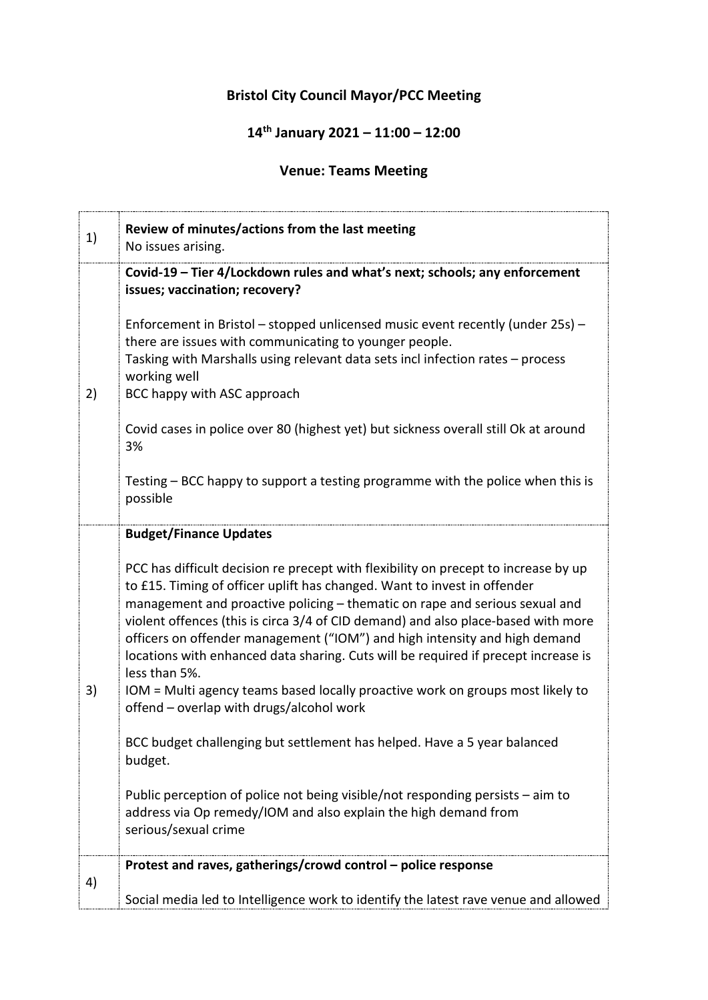## **Bristol City Council Mayor/PCC Meeting**

## **14th January 2021 – 11:00 – 12:00**

## **Venue: Teams Meeting**

| 1) | Review of minutes/actions from the last meeting<br>No issues arising.                                                                                                                                                                                                                                                                                                                                                                                                                                                                                                                                                                                  |
|----|--------------------------------------------------------------------------------------------------------------------------------------------------------------------------------------------------------------------------------------------------------------------------------------------------------------------------------------------------------------------------------------------------------------------------------------------------------------------------------------------------------------------------------------------------------------------------------------------------------------------------------------------------------|
| 2) | Covid-19 - Tier 4/Lockdown rules and what's next; schools; any enforcement<br>issues; vaccination; recovery?                                                                                                                                                                                                                                                                                                                                                                                                                                                                                                                                           |
|    | Enforcement in Bristol - stopped unlicensed music event recently (under 25s) -<br>there are issues with communicating to younger people.<br>Tasking with Marshalls using relevant data sets incl infection rates - process<br>working well<br>BCC happy with ASC approach                                                                                                                                                                                                                                                                                                                                                                              |
|    | Covid cases in police over 80 (highest yet) but sickness overall still Ok at around<br>3%                                                                                                                                                                                                                                                                                                                                                                                                                                                                                                                                                              |
|    | Testing – BCC happy to support a testing programme with the police when this is<br>possible                                                                                                                                                                                                                                                                                                                                                                                                                                                                                                                                                            |
|    | <b>Budget/Finance Updates</b>                                                                                                                                                                                                                                                                                                                                                                                                                                                                                                                                                                                                                          |
| 3) | PCC has difficult decision re precept with flexibility on precept to increase by up<br>to £15. Timing of officer uplift has changed. Want to invest in offender<br>management and proactive policing - thematic on rape and serious sexual and<br>violent offences (this is circa 3/4 of CID demand) and also place-based with more<br>officers on offender management ("IOM") and high intensity and high demand<br>locations with enhanced data sharing. Cuts will be required if precept increase is<br>less than 5%.<br>IOM = Multi agency teams based locally proactive work on groups most likely to<br>offend – overlap with drugs/alcohol work |
|    | BCC budget challenging but settlement has helped. Have a 5 year balanced<br>budget.                                                                                                                                                                                                                                                                                                                                                                                                                                                                                                                                                                    |
|    | Public perception of police not being visible/not responding persists – aim to<br>address via Op remedy/IOM and also explain the high demand from<br>serious/sexual crime                                                                                                                                                                                                                                                                                                                                                                                                                                                                              |
| 4) | Protest and raves, gatherings/crowd control - police response                                                                                                                                                                                                                                                                                                                                                                                                                                                                                                                                                                                          |
|    | Social media led to Intelligence work to identify the latest rave venue and allowed                                                                                                                                                                                                                                                                                                                                                                                                                                                                                                                                                                    |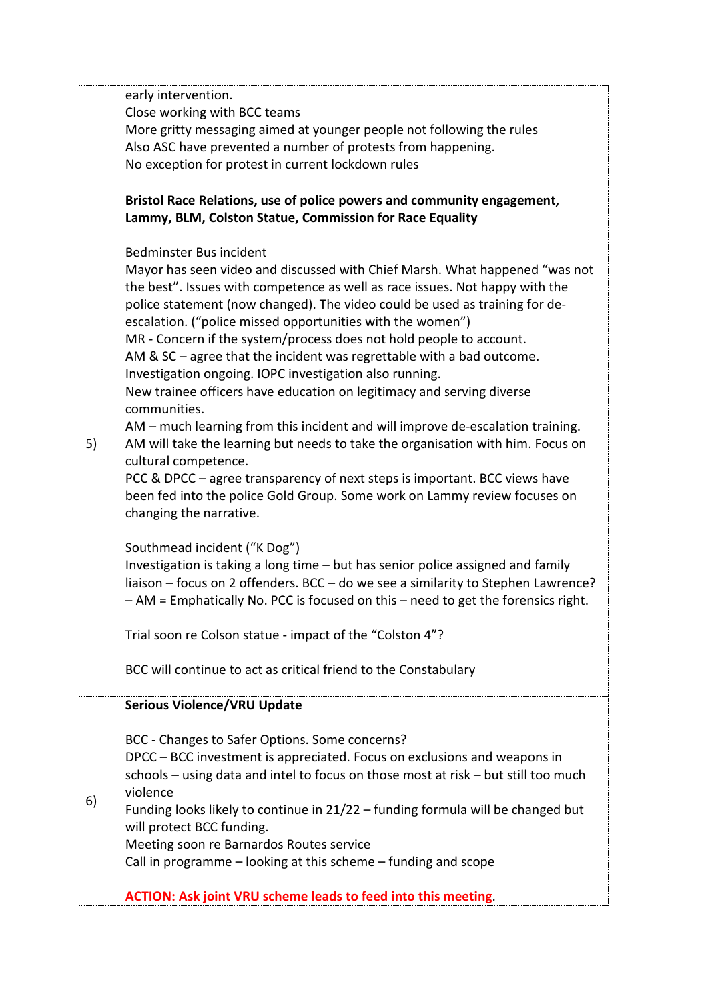|    | early intervention.                                                                                          |
|----|--------------------------------------------------------------------------------------------------------------|
|    | Close working with BCC teams                                                                                 |
|    | More gritty messaging aimed at younger people not following the rules                                        |
|    | Also ASC have prevented a number of protests from happening.                                                 |
|    | No exception for protest in current lockdown rules                                                           |
|    | Bristol Race Relations, use of police powers and community engagement,                                       |
| 5) | Lammy, BLM, Colston Statue, Commission for Race Equality                                                     |
|    | Bedminster Bus incident                                                                                      |
|    | Mayor has seen video and discussed with Chief Marsh. What happened "was not                                  |
|    | the best". Issues with competence as well as race issues. Not happy with the                                 |
|    | police statement (now changed). The video could be used as training for de-                                  |
|    | escalation. ("police missed opportunities with the women")                                                   |
|    | MR - Concern if the system/process does not hold people to account.                                          |
|    | AM & $SC$ – agree that the incident was regrettable with a bad outcome.                                      |
|    | Investigation ongoing. IOPC investigation also running.                                                      |
|    | New trainee officers have education on legitimacy and serving diverse                                        |
|    | communities.                                                                                                 |
|    | AM - much learning from this incident and will improve de-escalation training.                               |
|    | AM will take the learning but needs to take the organisation with him. Focus on<br>cultural competence.      |
|    | PCC & DPCC – agree transparency of next steps is important. BCC views have                                   |
|    | been fed into the police Gold Group. Some work on Lammy review focuses on                                    |
|    | changing the narrative.                                                                                      |
|    | Southmead incident ("K Dog")                                                                                 |
|    | Investigation is taking a long time - but has senior police assigned and family                              |
|    | liaison - focus on 2 offenders. BCC - do we see a similarity to Stephen Lawrence?                            |
|    | - AM = Emphatically No. PCC is focused on this - need to get the forensics right.                            |
|    |                                                                                                              |
|    | Trial soon re Colson statue - impact of the "Colston 4"?                                                     |
|    | BCC will continue to act as critical friend to the Constabulary                                              |
|    | <b>Serious Violence/VRU Update</b>                                                                           |
| 6) |                                                                                                              |
|    | BCC - Changes to Safer Options. Some concerns?                                                               |
|    | DPCC – BCC investment is appreciated. Focus on exclusions and weapons in                                     |
|    | schools - using data and intel to focus on those most at risk - but still too much                           |
|    | violence                                                                                                     |
|    | Funding looks likely to continue in 21/22 - funding formula will be changed but<br>will protect BCC funding. |
|    | Meeting soon re Barnardos Routes service                                                                     |
|    | Call in programme $-$ looking at this scheme $-$ funding and scope                                           |
|    |                                                                                                              |
|    | <b>ACTION: Ask joint VRU scheme leads to feed into this meeting.</b>                                         |